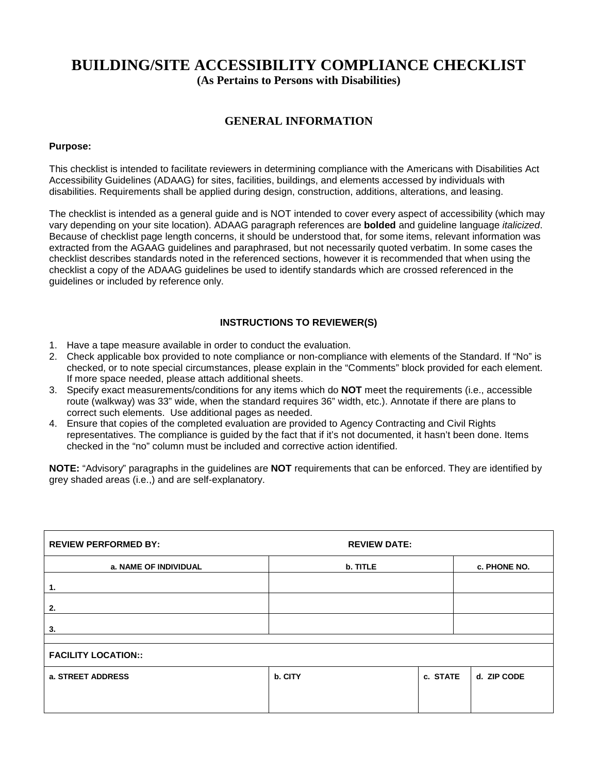# **BUILDING/SITE ACCESSIBILITY COMPLIANCE CHECKLIST**

**(As Pertains to Persons with Disabilities)**

# **GENERAL INFORMATION**

# **Purpose:**

This checklist is intended to facilitate reviewers in determining compliance with the Americans with Disabilities Act Accessibility Guidelines (ADAAG) for sites, facilities, buildings, and elements accessed by individuals with disabilities. Requirements shall be applied during design, construction, additions, alterations, and leasing.

The checklist is intended as a general guide and is NOT intended to cover every aspect of accessibility (which may vary depending on your site location). ADAAG paragraph references are **bolded** and guideline language *italicized*. Because of checklist page length concerns, it should be understood that, for some items, relevant information was extracted from the AGAAG guidelines and paraphrased, but not necessarily quoted verbatim. In some cases the checklist describes standards noted in the referenced sections, however it is recommended that when using the checklist a copy of the ADAAG guidelines be used to identify standards which are crossed referenced in the guidelines or included by reference only.

# **INSTRUCTIONS TO REVIEWER(S)**

- 1. Have a tape measure available in order to conduct the evaluation.
- 2. Check applicable box provided to note compliance or non-compliance with elements of the Standard. If "No" is checked, or to note special circumstances, please explain in the "Comments" block provided for each element. If more space needed, please attach additional sheets.
- 3. Specify exact measurements/conditions for any items which do **NOT** meet the requirements (i.e., accessible route (walkway) was 33" wide, when the standard requires 36" width, etc.). Annotate if there are plans to correct such elements. Use additional pages as needed.
- 4. Ensure that copies of the completed evaluation are provided to Agency Contracting and Civil Rights representatives. The compliance is guided by the fact that if it's not documented, it hasn't been done. Items checked in the "no" column must be included and corrective action identified.

**NOTE:** "Advisory" paragraphs in the guidelines are **NOT** requirements that can be enforced. They are identified by grey shaded areas (i.e.,) and are self-explanatory.

| <b>REVIEW PERFORMED BY:</b> | <b>REVIEW DATE:</b> |              |             |  |  |  |
|-----------------------------|---------------------|--------------|-------------|--|--|--|
| a. NAME OF INDIVIDUAL       | b. TITLE            | c. PHONE NO. |             |  |  |  |
| $\mathbf{1}$ .              |                     |              |             |  |  |  |
| 2.                          |                     |              |             |  |  |  |
| 3.                          |                     |              |             |  |  |  |
| <b>FACILITY LOCATION::</b>  |                     |              |             |  |  |  |
| a. STREET ADDRESS           | b. CITY             | c. STATE     | d. ZIP CODE |  |  |  |
|                             |                     |              |             |  |  |  |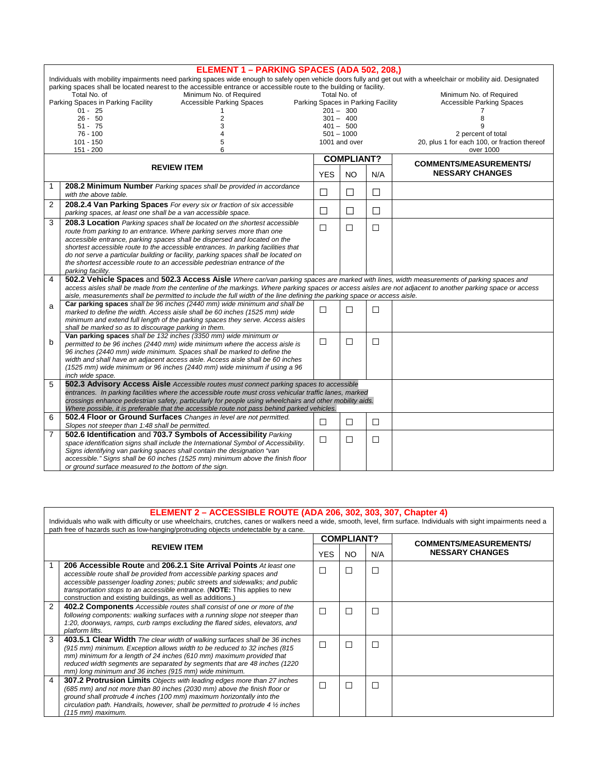|                | ELEMENT 1 - PARKING SPACES (ADA 502, 208,)                                                                                                                                                                                                                                                                                                                                      |            |                                                   |        |                                                                    |  |  |  |
|----------------|---------------------------------------------------------------------------------------------------------------------------------------------------------------------------------------------------------------------------------------------------------------------------------------------------------------------------------------------------------------------------------|------------|---------------------------------------------------|--------|--------------------------------------------------------------------|--|--|--|
|                | Individuals with mobility impairments need parking spaces wide enough to safely open vehicle doors fully and get out with a wheelchair or mobility aid. Designated<br>parking spaces shall be located nearest to the accessible entrance or accessible route to the building or facility.<br>Minimum No. of Required<br>Total No. of<br>Total No. of<br>Minimum No. of Required |            |                                                   |        |                                                                    |  |  |  |
|                | Parking Spaces in Parking Facility<br>Accessible Parking Spaces<br>$01 - 25$                                                                                                                                                                                                                                                                                                    |            | Parking Spaces in Parking Facility<br>$201 - 300$ |        | <b>Accessible Parking Spaces</b>                                   |  |  |  |
|                | $26 - 50$<br>2                                                                                                                                                                                                                                                                                                                                                                  |            | $301 - 400$                                       |        | 8                                                                  |  |  |  |
|                | $51 - 75$<br>3                                                                                                                                                                                                                                                                                                                                                                  |            | $401 - 500$                                       |        | g                                                                  |  |  |  |
|                | $76 - 100$<br>$101 - 150$<br>5                                                                                                                                                                                                                                                                                                                                                  |            | $501 - 1000$<br>1001 and over                     |        | 2 percent of total<br>20, plus 1 for each 100, or fraction thereof |  |  |  |
|                | $151 - 200$<br>6                                                                                                                                                                                                                                                                                                                                                                |            |                                                   |        | over 1000                                                          |  |  |  |
|                |                                                                                                                                                                                                                                                                                                                                                                                 |            | <b>COMPLIANT?</b>                                 |        | <b>COMMENTS/MEASUREMENTS/</b>                                      |  |  |  |
|                | <b>REVIEW ITEM</b>                                                                                                                                                                                                                                                                                                                                                              | <b>YES</b> | NO.<br>N/A                                        |        | <b>NESSARY CHANGES</b>                                             |  |  |  |
| 1              | <b>208.2 Minimum Number</b> Parking spaces shall be provided in accordance<br>with the above table.                                                                                                                                                                                                                                                                             | П          | П                                                 | П      |                                                                    |  |  |  |
| $\overline{2}$ | 208.2.4 Van Parking Spaces For every six or fraction of six accessible<br>parking spaces, at least one shall be a van accessible space.                                                                                                                                                                                                                                         | П          | П                                                 | П      |                                                                    |  |  |  |
| 3              | <b>208.3 Location</b> Parking spaces shall be located on the shortest accessible                                                                                                                                                                                                                                                                                                | П          | $\Box$                                            | $\Box$ |                                                                    |  |  |  |
|                | route from parking to an entrance. Where parking serves more than one<br>accessible entrance, parking spaces shall be dispersed and located on the                                                                                                                                                                                                                              |            |                                                   |        |                                                                    |  |  |  |
|                | shortest accessible route to the accessible entrances. In parking facilities that                                                                                                                                                                                                                                                                                               |            |                                                   |        |                                                                    |  |  |  |
|                | do not serve a particular building or facility, parking spaces shall be located on                                                                                                                                                                                                                                                                                              |            |                                                   |        |                                                                    |  |  |  |
|                | the shortest accessible route to an accessible pedestrian entrance of the<br>parking facility.                                                                                                                                                                                                                                                                                  |            |                                                   |        |                                                                    |  |  |  |
| 4              | 502.2 Vehicle Spaces and 502.3 Access Aisle Where car/van parking spaces are marked with lines, width measurements of parking spaces and                                                                                                                                                                                                                                        |            |                                                   |        |                                                                    |  |  |  |
|                | access aisles shall be made from the centerline of the markings. Where parking spaces or access aisles are not adjacent to another parking space or access<br>aisle, measurements shall be permitted to include the full width of the line defining the parking space or access aisle.                                                                                          |            |                                                   |        |                                                                    |  |  |  |
| a              | Car parking spaces shall be 96 inches (2440 mm) wide minimum and shall be                                                                                                                                                                                                                                                                                                       | П          | П                                                 | $\Box$ |                                                                    |  |  |  |
|                | marked to define the width. Access aisle shall be 60 inches (1525 mm) wide<br>minimum and extend full length of the parking spaces they serve. Access aisles                                                                                                                                                                                                                    |            |                                                   |        |                                                                    |  |  |  |
|                | shall be marked so as to discourage parking in them.                                                                                                                                                                                                                                                                                                                            |            |                                                   |        |                                                                    |  |  |  |
| b              | Van parking spaces shall be 132 inches (3350 mm) wide minimum or                                                                                                                                                                                                                                                                                                                | $\Box$     | $\Box$                                            | □      |                                                                    |  |  |  |
|                | permitted to be 96 inches (2440 mm) wide minimum where the access aisle is<br>96 inches (2440 mm) wide minimum. Spaces shall be marked to define the                                                                                                                                                                                                                            |            |                                                   |        |                                                                    |  |  |  |
|                | width and shall have an adjacent access aisle. Access aisle shall be 60 inches                                                                                                                                                                                                                                                                                                  |            |                                                   |        |                                                                    |  |  |  |
|                | (1525 mm) wide minimum or 96 inches (2440 mm) wide minimum if using a 96                                                                                                                                                                                                                                                                                                        |            |                                                   |        |                                                                    |  |  |  |
|                | inch wide space.                                                                                                                                                                                                                                                                                                                                                                |            |                                                   |        |                                                                    |  |  |  |
| 5              | <b>502.3 Advisory Access Aisle</b> Accessible routes must connect parking spaces to accessible<br>entrances. In parking facilities where the accessible route must cross vehicular traffic lanes, marked                                                                                                                                                                        |            |                                                   |        |                                                                    |  |  |  |
|                | crossings enhance pedestrian safety, particularly for people using wheelchairs and other mobility aids.                                                                                                                                                                                                                                                                         |            |                                                   |        |                                                                    |  |  |  |
|                | Where possible, it is preferable that the accessible route not pass behind parked vehicles.                                                                                                                                                                                                                                                                                     |            |                                                   |        |                                                                    |  |  |  |
| 6              | 502.4 Floor or Ground Surfaces Changes in level are not permitted.                                                                                                                                                                                                                                                                                                              | $\Box$     | $\Box$                                            | $\Box$ |                                                                    |  |  |  |
| 7              | Slopes not steeper than 1:48 shall be permitted.<br>502.6 Identification and 703.7 Symbols of Accessibility Parking                                                                                                                                                                                                                                                             |            |                                                   |        |                                                                    |  |  |  |
|                | space identification signs shall include the International Symbol of Accessibility.                                                                                                                                                                                                                                                                                             | □          | □                                                 | $\Box$ |                                                                    |  |  |  |
|                | Signs identifying van parking spaces shall contain the designation "van                                                                                                                                                                                                                                                                                                         |            |                                                   |        |                                                                    |  |  |  |
|                | accessible." Signs shall be 60 inches (1525 mm) minimum above the finish floor                                                                                                                                                                                                                                                                                                  |            |                                                   |        |                                                                    |  |  |  |
|                | or ground surface measured to the bottom of the sign.                                                                                                                                                                                                                                                                                                                           |            |                                                   |        |                                                                    |  |  |  |

|   | <b>ELEMENT 2 - ACCESSIBLE ROUTE (ADA 206, 302, 303, 307, Chapter 4)</b><br>Individuals who walk with difficulty or use wheelchairs, crutches, canes or walkers need a wide, smooth, level, firm surface. Individuals with sight impairments need a<br>path free of hazards such as low-hanging/protruding objects undetectable by a cane.                               |            |                   |        |                               |  |  |  |
|---|-------------------------------------------------------------------------------------------------------------------------------------------------------------------------------------------------------------------------------------------------------------------------------------------------------------------------------------------------------------------------|------------|-------------------|--------|-------------------------------|--|--|--|
|   |                                                                                                                                                                                                                                                                                                                                                                         |            | <b>COMPLIANT?</b> |        | <b>COMMENTS/MEASUREMENTS/</b> |  |  |  |
|   | <b>REVIEW ITEM</b>                                                                                                                                                                                                                                                                                                                                                      | <b>YES</b> | NO.               | N/A    | <b>NESSARY CHANGES</b>        |  |  |  |
|   | 206 Accessible Route and 206.2.1 Site Arrival Points At least one<br>accessible route shall be provided from accessible parking spaces and<br>accessible passenger loading zones; public streets and sidewalks; and public<br>transportation stops to an accessible entrance. (NOTE: This applies to new<br>construction and existing buildings, as well as additions.) | ⊏          | □                 | $\Box$ |                               |  |  |  |
| 2 | 402.2 Components Accessible routes shall consist of one or more of the<br>following components: walking surfaces with a running slope not steeper than<br>1:20, doorways, ramps, curb ramps excluding the flared sides, elevators, and<br>platform lifts.                                                                                                               | П          | П                 | П      |                               |  |  |  |
| 3 | 403.5.1 Clear Width The clear width of walking surfaces shall be 36 inches<br>(915 mm) minimum. Exception allows width to be reduced to 32 inches (815<br>mm) minimum for a length of 24 inches (610 mm) maximum provided that<br>reduced width segments are separated by segments that are 48 inches (1220<br>mm) long minimum and 36 inches (915 mm) wide minimum.    | □          | □                 | $\Box$ |                               |  |  |  |
| 4 | 307.2 Protrusion Limits Objects with leading edges more than 27 inches<br>(685 mm) and not more than 80 inches (2030 mm) above the finish floor or<br>ground shall protrude 4 inches (100 mm) maximum horizontally into the<br>circulation path. Handrails, however, shall be permitted to protrude 4 $\frac{1}{2}$ inches<br>(115 mm) maximum.                         | г          | П                 | П      |                               |  |  |  |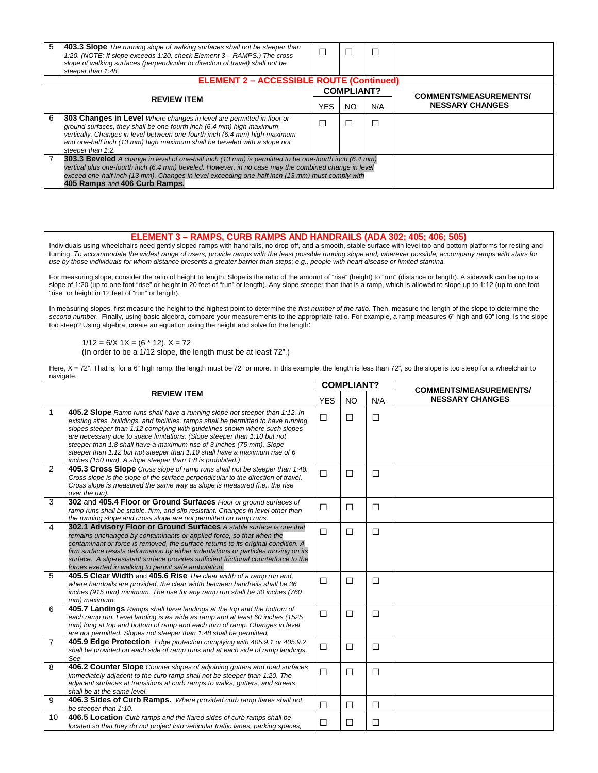| 5                  | <b>403.3 Slope</b> The running slope of walking surfaces shall not be steeper than<br>1:20. (NOTE: If slope exceeds 1:20, check Element 3 – RAMPS.) The cross<br>slope of walking surfaces (perpendicular to direction of travel) shall not be<br>steeper than 1:48.                                                                                    |            |                   |     |                               |  |  |  |
|--------------------|---------------------------------------------------------------------------------------------------------------------------------------------------------------------------------------------------------------------------------------------------------------------------------------------------------------------------------------------------------|------------|-------------------|-----|-------------------------------|--|--|--|
|                    | <b>ELEMENT 2 - ACCESSIBLE ROUTE (Continued)</b>                                                                                                                                                                                                                                                                                                         |            |                   |     |                               |  |  |  |
|                    |                                                                                                                                                                                                                                                                                                                                                         |            | <b>COMPLIANT?</b> |     | <b>COMMENTS/MEASUREMENTS/</b> |  |  |  |
| <b>REVIEW ITEM</b> |                                                                                                                                                                                                                                                                                                                                                         | <b>YES</b> | <b>NO</b>         | N/A | <b>NESSARY CHANGES</b>        |  |  |  |
| 6                  | 303 Changes in Level Where changes in level are permitted in floor or<br>ground surfaces, they shall be one-fourth inch (6.4 mm) high maximum<br>vertically. Changes in level between one-fourth inch (6.4 mm) high maximum<br>and one-half inch (13 mm) high maximum shall be beveled with a slope not<br>steeper than 1:2.                            |            |                   |     |                               |  |  |  |
|                    | <b>303.3 Beveled</b> A change in level of one-half inch (13 mm) is permitted to be one-fourth inch (6.4 mm)<br>vertical plus one-fourth inch (6.4 mm) beveled. However, in no case may the combined change in level<br>exceed one-half inch (13 mm). Changes in level exceeding one-half inch (13 mm) must comply with<br>405 Ramps and 406 Curb Ramps. |            |                   |     |                               |  |  |  |

#### **ELEMENT 3 – RAMPS, CURB RAMPS AND HANDRAILS (ADA 302; 405; 406; 505)**

Individuals using wheelchairs need gently sloped ramps with handrails, no drop-off, and a smooth, stable surface with level top and bottom platforms for resting and turning. *To accommodate the widest range of users, provide ramps with the least possible running slope and, wherever possible, accompany ramps with stairs for use by those individuals for whom distance presents a greater barrier than steps; e.g., people with heart disease or limited stamina.*

For measuring slope, consider the ratio of height to length. Slope is the ratio of the amount of "rise" (height) to "run" (distance or length). A sidewalk can be up to a slope of 1:20 (up to one foot "rise" or height in 20 feet of "run" or length). Any slope steeper than that is a ramp, which is allowed to slope up to 1:12 (up to one foot "rise" or height in 12 feet of "run" or length).

In measuring slopes, first measure the height to the highest point to determine the *first number of the ratio*. Then, measure the length of the slope to determine the *second number*. Finally, using basic algebra, compare your measurements to the appropriate ratio. For example, a ramp measures 6" high and 60" long. Is the slope too steep? Using algebra, create an equation using the height and solve for the length:

 $1/12 = 6/X 1X = (6 * 12), X = 72$ (In order to be a 1/12 slope, the length must be at least 72".)

Here, X = 72". That is, for a 6" high ramp, the length must be 72" or more. In this example, the length is less than 72", so the slope is too steep for a wheelchair to navigate.

|                    |                                                                                                                                                                                                                                                                                                                                                                                                                                                                                                                                                 | <b>COMPLIANT?</b> |           |        | <b>COMMENTS/MEASUREMENTS/</b> |  |
|--------------------|-------------------------------------------------------------------------------------------------------------------------------------------------------------------------------------------------------------------------------------------------------------------------------------------------------------------------------------------------------------------------------------------------------------------------------------------------------------------------------------------------------------------------------------------------|-------------------|-----------|--------|-------------------------------|--|
| <b>REVIEW ITEM</b> |                                                                                                                                                                                                                                                                                                                                                                                                                                                                                                                                                 | <b>YES</b>        | <b>NO</b> | N/A    | <b>NESSARY CHANGES</b>        |  |
| 1                  | 405.2 Slope Ramp runs shall have a running slope not steeper than 1:12. In<br>existing sites, buildings, and facilities, ramps shall be permitted to have running<br>slopes steeper than 1:12 complying with guidelines shown where such slopes<br>are necessary due to space limitations. (Slope steeper than 1:10 but not<br>steeper than 1:8 shall have a maximum rise of 3 inches (75 mm). Slope<br>steeper than 1:12 but not steeper than 1:10 shall have a maximum rise of 6<br>inches (150 mm). A slope steeper than 1:8 is prohibited.) | $\Box$            | $\Box$    | $\Box$ |                               |  |
| 2                  | 405.3 Cross Slope Cross slope of ramp runs shall not be steeper than 1:48.<br>Cross slope is the slope of the surface perpendicular to the direction of travel.<br>Cross slope is measured the same way as slope is measured (i.e., the rise<br>over the run).                                                                                                                                                                                                                                                                                  | $\Box$            | $\Box$    | $\Box$ |                               |  |
| 3                  | 302 and 405.4 Floor or Ground Surfaces Floor or ground surfaces of<br>ramp runs shall be stable, firm, and slip resistant. Changes in level other than<br>the running slope and cross slope are not permitted on ramp runs.                                                                                                                                                                                                                                                                                                                     | $\Box$            | П         | $\Box$ |                               |  |
| 4                  | 302.1 Advisory Floor or Ground Surfaces A stable surface is one that<br>remains unchanged by contaminants or applied force, so that when the<br>contaminant or force is removed, the surface returns to its original condition. A<br>firm surface resists deformation by either indentations or particles moving on its<br>surface. A slip-resistant surface provides sufficient frictional counterforce to the<br>forces exerted in walking to permit safe ambulation.                                                                         | $\Box$            | П         | $\Box$ |                               |  |
| 5                  | 405.5 Clear Width and 405.6 Rise The clear width of a ramp run and.<br>where handrails are provided, the clear width between handrails shall be 36<br>inches (915 mm) minimum. The rise for any ramp run shall be 30 inches (760<br>mm) maximum.                                                                                                                                                                                                                                                                                                | $\Box$            | $\Box$    | $\Box$ |                               |  |
| 6                  | 405.7 Landings Ramps shall have landings at the top and the bottom of<br>each ramp run. Level landing is as wide as ramp and at least 60 inches (1525<br>mm) long at top and bottom of ramp and each turn of ramp. Changes in level<br>are not permitted. Slopes not steeper than 1:48 shall be permitted,                                                                                                                                                                                                                                      | $\Box$            | П         | $\Box$ |                               |  |
| $\overline{7}$     | 405.9 Edge Protection Edge protection complying with 405.9.1 or 405.9.2<br>shall be provided on each side of ramp runs and at each side of ramp landings.<br>See                                                                                                                                                                                                                                                                                                                                                                                | $\Box$            | $\Box$    | $\Box$ |                               |  |
| 8                  | 406.2 Counter Slope Counter slopes of adjoining gutters and road surfaces<br>immediately adjacent to the curb ramp shall not be steeper than 1:20. The<br>adjacent surfaces at transitions at curb ramps to walks, gutters, and streets<br>shall be at the same level.                                                                                                                                                                                                                                                                          | $\Box$            | П         | $\Box$ |                               |  |
| 9                  | 406.3 Sides of Curb Ramps. Where provided curb ramp flares shall not<br>be steeper than 1:10.                                                                                                                                                                                                                                                                                                                                                                                                                                                   | $\Box$            | $\Box$    | $\Box$ |                               |  |
| 10                 | 406.5 Location Curb ramps and the flared sides of curb ramps shall be<br>located so that they do not project into vehicular traffic lanes, parking spaces,                                                                                                                                                                                                                                                                                                                                                                                      | □                 | П         | □      |                               |  |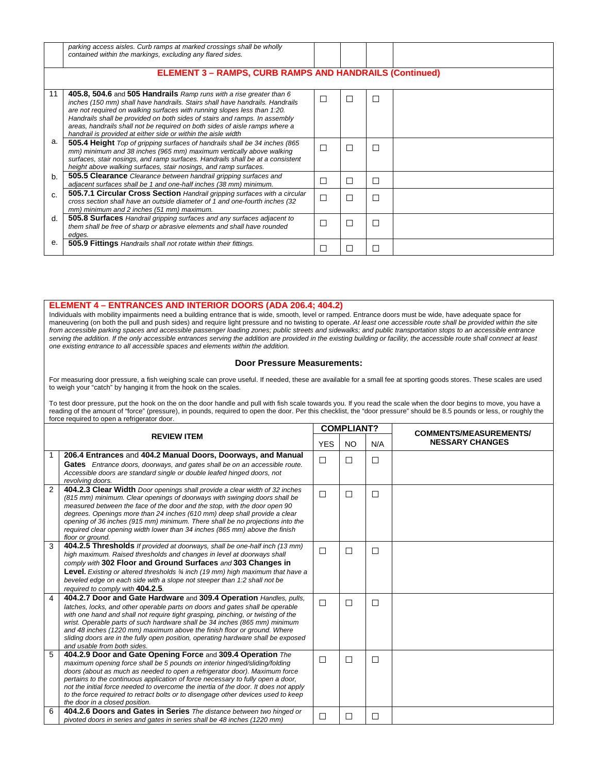|    | parking access aisles. Curb ramps at marked crossings shall be wholly<br>contained within the markings, excluding any flared sides.<br><b>ELEMENT 3 - RAMPS, CURB RAMPS AND HANDRAILS (Continued)</b>                                                                                                                                                                                                                                                         |   |        |        |  |
|----|---------------------------------------------------------------------------------------------------------------------------------------------------------------------------------------------------------------------------------------------------------------------------------------------------------------------------------------------------------------------------------------------------------------------------------------------------------------|---|--------|--------|--|
|    |                                                                                                                                                                                                                                                                                                                                                                                                                                                               |   |        |        |  |
| 11 | 405.8, 504.6 and 505 Handrails Ramp runs with a rise greater than 6<br>inches (150 mm) shall have handrails. Stairs shall have handrails. Handrails<br>are not required on walking surfaces with running slopes less than 1:20.<br>Handrails shall be provided on both sides of stairs and ramps. In assembly<br>areas, handrails shall not be required on both sides of aisle ramps where a<br>handrail is provided at either side or within the aisle width | □ | $\Box$ | $\Box$ |  |
| а. | 505.4 Height Top of gripping surfaces of handrails shall be 34 inches (865)<br>mm) minimum and 38 inches (965 mm) maximum vertically above walking<br>surfaces, stair nosings, and ramp surfaces. Handrails shall be at a consistent<br>height above walking surfaces, stair nosings, and ramp surfaces.                                                                                                                                                      | П | П      | □      |  |
| b. | <b>505.5 Clearance</b> Clearance between handrail gripping surfaces and<br>adjacent surfaces shall be 1 and one-half inches (38 mm) minimum.                                                                                                                                                                                                                                                                                                                  | L | $\Box$ | □      |  |
| C. | 505.7.1 Circular Cross Section Handrail gripping surfaces with a circular<br>cross section shall have an outside diameter of 1 and one-fourth inches (32<br>mm) minimum and 2 inches (51 mm) maximum.                                                                                                                                                                                                                                                         | □ | П      | П      |  |
| d. | 505.8 Surfaces Handrail gripping surfaces and any surfaces adjacent to<br>them shall be free of sharp or abrasive elements and shall have rounded<br>edaes.                                                                                                                                                                                                                                                                                                   | П | П      | П      |  |
| e. | 505.9 Fittings Handrails shall not rotate within their fittings.                                                                                                                                                                                                                                                                                                                                                                                              |   |        |        |  |

#### **ELEMENT 4 – ENTRANCES AND INTERIOR DOORS (ADA 206.4; 404.2)**

Individuals with mobility impairments need a building entrance that is wide, smooth, level or ramped. Entrance doors must be wide, have adequate space for maneuvering (on both the pull and push sides) and require light pressure and no twisting to operate. *At least one accessible route shall be provided within the site from accessible parking spaces and accessible passenger loading zones; public streets and sidewalks; and public transportation stops to an accessible entrance serving the addition. If the only accessible entrances serving the addition are provided in the existing building or facility, the accessible route shall connect at least one existing entrance to all accessible spaces and elements within the addition.*

#### **Door Pressure Measurements:**

For measuring door pressure, a fish weighing scale can prove useful. If needed, these are available for a small fee at sporting goods stores. These scales are used to weigh your "catch" by hanging it from the hook on the scales.

To test door pressure, put the hook on the on the door handle and pull with fish scale towards you. If you read the scale when the door begins to move, you have a reading of the amount of "force" (pressure), in pounds, required to open the door. Per this checklist, the "door pressure" should be 8.5 pounds or less, or roughly the force required to open a refrigerator door.

|  |                                                                                                                                                                                                                                                                                                                                                                                                                                                                                                                               | <b>COMPLIANT?</b> |           |        | <b>COMMENTS/MEASUREMENTS/</b> |
|--|-------------------------------------------------------------------------------------------------------------------------------------------------------------------------------------------------------------------------------------------------------------------------------------------------------------------------------------------------------------------------------------------------------------------------------------------------------------------------------------------------------------------------------|-------------------|-----------|--------|-------------------------------|
|  | <b>REVIEW ITEM</b><br><b>YES</b>                                                                                                                                                                                                                                                                                                                                                                                                                                                                                              |                   | <b>NO</b> | N/A    | <b>NESSARY CHANGES</b>        |
|  | 206.4 Entrances and 404.2 Manual Doors, Doorways, and Manual<br>1<br>Gates Entrance doors, doorways, and gates shall be on an accessible route.<br>Accessible doors are standard single or double leafed hinged doors, not<br>revolving doors.                                                                                                                                                                                                                                                                                | $\Box$            | П         | $\Box$ |                               |
|  | 2<br>404.2.3 Clear Width Door openings shall provide a clear width of 32 inches<br>(815 mm) minimum. Clear openings of doorways with swinging doors shall be<br>measured between the face of the door and the stop, with the door open 90<br>degrees. Openings more than 24 inches (610 mm) deep shall provide a clear<br>opening of 36 inches (915 mm) minimum. There shall be no projections into the<br>required clear opening width lower than 34 inches (865 mm) above the finish<br>floor or ground.                    | $\Box$            | $\Box$    | $\Box$ |                               |
|  | 3<br>404.2.5 Thresholds If provided at doorways, shall be one-half inch (13 mm)<br>high maximum. Raised thresholds and changes in level at doorways shall<br>comply with 302 Floor and Ground Surfaces and 303 Changes in<br><b>Level.</b> Existing or altered thresholds $\frac{3}{4}$ inch (19 mm) high maximum that have a<br>beveled edge on each side with a slope not steeper than 1:2 shall not be<br>required to comply with 404.2.5.                                                                                 | $\Box$            | $\Box$    | □      |                               |
|  | 404.2.7 Door and Gate Hardware and 309.4 Operation Handles, pulls,<br>4<br>latches, locks, and other operable parts on doors and gates shall be operable<br>with one hand and shall not require tight grasping, pinching, or twisting of the<br>wrist. Operable parts of such hardware shall be 34 inches (865 mm) minimum<br>and 48 inches (1220 mm) maximum above the finish floor or ground. Where<br>sliding doors are in the fully open position, operating hardware shall be exposed<br>and usable from both sides.     | $\Box$            | $\Box$    | $\Box$ |                               |
|  | 5<br>404.2.9 Door and Gate Opening Force and 309.4 Operation The<br>maximum opening force shall be 5 pounds on interior hinged/sliding/folding<br>doors (about as much as needed to open a refrigerator door). Maximum force<br>pertains to the continuous application of force necessary to fully open a door,<br>not the initial force needed to overcome the inertia of the door. It does not apply<br>to the force required to retract bolts or to disengage other devices used to keep<br>the door in a closed position. | П                 | П         | $\Box$ |                               |
|  | 404.2.6 Doors and Gates in Series The distance between two hinged or<br>6<br>pivoted doors in series and gates in series shall be 48 inches (1220 mm)                                                                                                                                                                                                                                                                                                                                                                         | П                 | П         | П      |                               |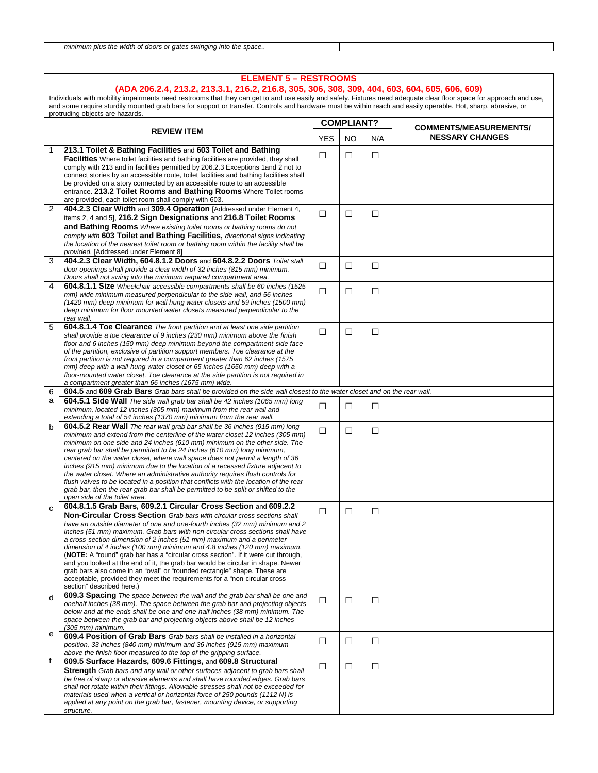| minimum<br>naına<br>$n\ln e$<br>width<br>C1111<br>: the<br>ıntc.<br>aates<br>ז הי<br>.nrc<br>∩ space…<br>ao<br>tne<br>SWII<br><b>LILLS</b><br>.<br>. . |  |  |
|--------------------------------------------------------------------------------------------------------------------------------------------------------|--|--|
|                                                                                                                                                        |  |  |

|                | <b>ELEMENT 5 - RESTROOMS</b><br>(ADA 206.2.4, 213.2, 213.3.1, 216.2, 216.8, 305, 306, 308, 309, 404, 603, 604, 605, 606, 609)<br>Individuals with mobility impairments need restrooms that they can get to and use easily and safely. Fixtures need adequate clear floor space for approach and use,<br>and some require sturdily mounted grab bars for support or transfer. Controls and hardware must be within reach and easily operable. Hot, sharp, abrasive, or<br>protruding objects are hazards. |            |                   |     |                               |  |  |
|----------------|----------------------------------------------------------------------------------------------------------------------------------------------------------------------------------------------------------------------------------------------------------------------------------------------------------------------------------------------------------------------------------------------------------------------------------------------------------------------------------------------------------|------------|-------------------|-----|-------------------------------|--|--|
|                | <b>REVIEW ITEM</b>                                                                                                                                                                                                                                                                                                                                                                                                                                                                                       |            | <b>COMPLIANT?</b> |     | <b>COMMENTS/MEASUREMENTS/</b> |  |  |
|                |                                                                                                                                                                                                                                                                                                                                                                                                                                                                                                          | <b>YES</b> | <b>NO</b>         | N/A | <b>NESSARY CHANGES</b>        |  |  |
| 1              | 213.1 Toilet & Bathing Facilities and 603 Toilet and Bathing                                                                                                                                                                                                                                                                                                                                                                                                                                             | $\Box$     | □                 | □   |                               |  |  |
|                | <b>Facilities</b> Where toilet facilities and bathing facilities are provided, they shall                                                                                                                                                                                                                                                                                                                                                                                                                |            |                   |     |                               |  |  |
|                | comply with 213 and in facilities permitted by 206.2.3 Exceptions 1 and 2 not to<br>connect stories by an accessible route, toilet facilities and bathing facilities shall                                                                                                                                                                                                                                                                                                                               |            |                   |     |                               |  |  |
|                | be provided on a story connected by an accessible route to an accessible                                                                                                                                                                                                                                                                                                                                                                                                                                 |            |                   |     |                               |  |  |
|                | entrance. 213.2 Toilet Rooms and Bathing Rooms Where Toilet rooms                                                                                                                                                                                                                                                                                                                                                                                                                                        |            |                   |     |                               |  |  |
| $\overline{2}$ | are provided, each toilet room shall comply with 603.<br>404.2.3 Clear Width and 309.4 Operation [Addressed under Element 4,                                                                                                                                                                                                                                                                                                                                                                             |            |                   |     |                               |  |  |
|                | items 2, 4 and 5], 216.2 Sign Designations and 216.8 Toilet Rooms                                                                                                                                                                                                                                                                                                                                                                                                                                        | □          | □                 | □   |                               |  |  |
|                | and Bathing Rooms Where existing toilet rooms or bathing rooms do not                                                                                                                                                                                                                                                                                                                                                                                                                                    |            |                   |     |                               |  |  |
|                | comply with 603 Toilet and Bathing Facilities, directional signs indicating                                                                                                                                                                                                                                                                                                                                                                                                                              |            |                   |     |                               |  |  |
|                | the location of the nearest toilet room or bathing room within the facility shall be                                                                                                                                                                                                                                                                                                                                                                                                                     |            |                   |     |                               |  |  |
| 3              | provided. [Addressed under Element 8]<br>404.2.3 Clear Width, 604.8.1.2 Doors and 604.8.2.2 Doors Toilet stall                                                                                                                                                                                                                                                                                                                                                                                           |            |                   |     |                               |  |  |
|                | door openings shall provide a clear width of 32 inches (815 mm) minimum.                                                                                                                                                                                                                                                                                                                                                                                                                                 | $\Box$     | □                 | □   |                               |  |  |
|                | Doors shall not swing into the minimum required compartment area.                                                                                                                                                                                                                                                                                                                                                                                                                                        |            |                   |     |                               |  |  |
| 4              | 604.8.1.1 Size Wheelchair accessible compartments shall be 60 inches (1525)<br>mm) wide minimum measured perpendicular to the side wall, and 56 inches                                                                                                                                                                                                                                                                                                                                                   | □          | □                 | □   |                               |  |  |
|                | (1420 mm) deep minimum for wall hung water closets and 59 inches (1500 mm)                                                                                                                                                                                                                                                                                                                                                                                                                               |            |                   |     |                               |  |  |
|                | deep minimum for floor mounted water closets measured perpendicular to the                                                                                                                                                                                                                                                                                                                                                                                                                               |            |                   |     |                               |  |  |
| 5              | rear wall.<br><b>604.8.1.4 Toe Clearance</b> The front partition and at least one side partition                                                                                                                                                                                                                                                                                                                                                                                                         |            |                   |     |                               |  |  |
|                | shall provide a toe clearance of 9 inches (230 mm) minimum above the finish                                                                                                                                                                                                                                                                                                                                                                                                                              | □          | ⊔                 | ⊔   |                               |  |  |
|                | floor and 6 inches (150 mm) deep minimum beyond the compartment-side face                                                                                                                                                                                                                                                                                                                                                                                                                                |            |                   |     |                               |  |  |
|                | of the partition, exclusive of partition support members. Toe clearance at the<br>front partition is not required in a compartment greater than 62 inches (1575)                                                                                                                                                                                                                                                                                                                                         |            |                   |     |                               |  |  |
|                | mm) deep with a wall-hung water closet or 65 inches (1650 mm) deep with a                                                                                                                                                                                                                                                                                                                                                                                                                                |            |                   |     |                               |  |  |
|                | floor-mounted water closet. Toe clearance at the side partition is not required in<br>a compartment greater than 66 inches (1675 mm) wide.                                                                                                                                                                                                                                                                                                                                                               |            |                   |     |                               |  |  |
| 6              | 604.5 and 609 Grab Bars Grab bars shall be provided on the side wall closest to the water closet and on the rear wall.                                                                                                                                                                                                                                                                                                                                                                                   |            |                   |     |                               |  |  |
| a              | <b>604.5.1 Side Wall</b> The side wall grab bar shall be 42 inches (1065 mm) long                                                                                                                                                                                                                                                                                                                                                                                                                        | □          | □                 | □   |                               |  |  |
|                | minimum, located 12 inches (305 mm) maximum from the rear wall and<br>extending a total of 54 inches (1370 mm) minimum from the rear wall.                                                                                                                                                                                                                                                                                                                                                               |            |                   |     |                               |  |  |
| b              | 604.5.2 Rear Wall The rear wall grab bar shall be 36 inches (915 mm) long                                                                                                                                                                                                                                                                                                                                                                                                                                |            |                   |     |                               |  |  |
|                | minimum and extend from the centerline of the water closet 12 inches (305 mm)                                                                                                                                                                                                                                                                                                                                                                                                                            | ⊔          | □                 | ⊔   |                               |  |  |
|                | minimum on one side and 24 inches (610 mm) minimum on the other side. The<br>rear grab bar shall be permitted to be 24 inches (610 mm) long minimum,                                                                                                                                                                                                                                                                                                                                                     |            |                   |     |                               |  |  |
|                | centered on the water closet, where wall space does not permit a length of 36                                                                                                                                                                                                                                                                                                                                                                                                                            |            |                   |     |                               |  |  |
|                | inches (915 mm) minimum due to the location of a recessed fixture adjacent to<br>the water closet. Where an administrative authority requires flush controls for                                                                                                                                                                                                                                                                                                                                         |            |                   |     |                               |  |  |
|                | flush valves to be located in a position that conflicts with the location of the rear                                                                                                                                                                                                                                                                                                                                                                                                                    |            |                   |     |                               |  |  |
|                | grab bar, then the rear grab bar shall be permitted to be split or shifted to the                                                                                                                                                                                                                                                                                                                                                                                                                        |            |                   |     |                               |  |  |
|                | open side of the toilet area.<br>604.8.1.5 Grab Bars, 609.2.1 Circular Cross Section and 609.2.2                                                                                                                                                                                                                                                                                                                                                                                                         |            |                   |     |                               |  |  |
| C              | <b>Non-Circular Cross Section</b> Grab bars with circular cross sections shall                                                                                                                                                                                                                                                                                                                                                                                                                           | ш          | □                 | □   |                               |  |  |
|                | have an outside diameter of one and one-fourth inches (32 mm) minimum and 2                                                                                                                                                                                                                                                                                                                                                                                                                              |            |                   |     |                               |  |  |
|                | inches (51 mm) maximum. Grab bars with non-circular cross sections shall have<br>a cross-section dimension of 2 inches (51 mm) maximum and a perimeter                                                                                                                                                                                                                                                                                                                                                   |            |                   |     |                               |  |  |
|                | dimension of 4 inches (100 mm) minimum and 4.8 inches (120 mm) maximum.                                                                                                                                                                                                                                                                                                                                                                                                                                  |            |                   |     |                               |  |  |
|                | (NOTE: A "round" grab bar has a "circular cross section". If it were cut through,                                                                                                                                                                                                                                                                                                                                                                                                                        |            |                   |     |                               |  |  |
|                | and you looked at the end of it, the grab bar would be circular in shape. Newer<br>grab bars also come in an "oval" or "rounded rectangle" shape. These are                                                                                                                                                                                                                                                                                                                                              |            |                   |     |                               |  |  |
|                | acceptable, provided they meet the requirements for a "non-circular cross                                                                                                                                                                                                                                                                                                                                                                                                                                |            |                   |     |                               |  |  |
|                | section" described here.)                                                                                                                                                                                                                                                                                                                                                                                                                                                                                |            |                   |     |                               |  |  |
| d              | <b>609.3 Spacing</b> The space between the wall and the grab bar shall be one and<br>onehalf inches (38 mm). The space between the grab bar and projecting objects                                                                                                                                                                                                                                                                                                                                       | □          | □                 | □   |                               |  |  |
|                | below and at the ends shall be one and one-half inches (38 mm) minimum. The                                                                                                                                                                                                                                                                                                                                                                                                                              |            |                   |     |                               |  |  |
|                | space between the grab bar and projecting objects above shall be 12 inches<br>(305 mm) minimum.                                                                                                                                                                                                                                                                                                                                                                                                          |            |                   |     |                               |  |  |
| е              | <b>609.4 Position of Grab Bars</b> Grab bars shall be installed in a horizontal                                                                                                                                                                                                                                                                                                                                                                                                                          |            |                   |     |                               |  |  |
|                | position, 33 inches (840 mm) minimum and 36 inches (915 mm) maximum                                                                                                                                                                                                                                                                                                                                                                                                                                      | ш          | □                 | □   |                               |  |  |
| f              | above the finish floor measured to the top of the gripping surface.<br>609.5 Surface Hazards, 609.6 Fittings, and 609.8 Structural                                                                                                                                                                                                                                                                                                                                                                       |            |                   |     |                               |  |  |
|                | Strength Grab bars and any wall or other surfaces adjacent to grab bars shall                                                                                                                                                                                                                                                                                                                                                                                                                            | □          | □                 | □   |                               |  |  |
|                | be free of sharp or abrasive elements and shall have rounded edges. Grab bars                                                                                                                                                                                                                                                                                                                                                                                                                            |            |                   |     |                               |  |  |
|                | shall not rotate within their fittings. Allowable stresses shall not be exceeded for                                                                                                                                                                                                                                                                                                                                                                                                                     |            |                   |     |                               |  |  |
|                | materials used when a vertical or horizontal force of 250 pounds (1112 N) is<br>applied at any point on the grab bar, fastener, mounting device, or supporting                                                                                                                                                                                                                                                                                                                                           |            |                   |     |                               |  |  |
|                | structure.                                                                                                                                                                                                                                                                                                                                                                                                                                                                                               |            |                   |     |                               |  |  |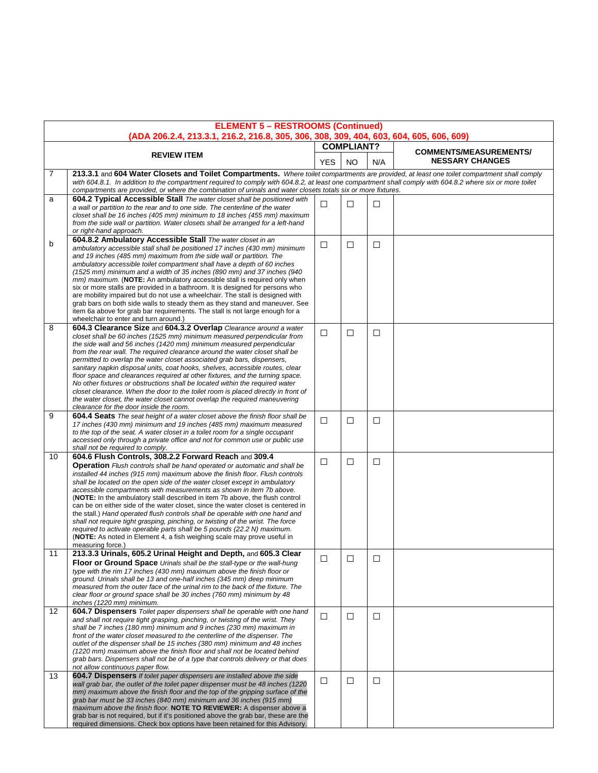|                   | <b>ELEMENT 5 - RESTROOMS (Continued)</b><br>(ADA 206.2.4, 213.3.1, 216.2, 216.8, 305, 306, 308, 309, 404, 603, 604, 605, 606, 609)                                                                                                                                                                                                                                                                                                                                                                                                                                                                                                                                                                                                                                                                                                                                                               |                   |           |        |                               |  |  |  |
|-------------------|--------------------------------------------------------------------------------------------------------------------------------------------------------------------------------------------------------------------------------------------------------------------------------------------------------------------------------------------------------------------------------------------------------------------------------------------------------------------------------------------------------------------------------------------------------------------------------------------------------------------------------------------------------------------------------------------------------------------------------------------------------------------------------------------------------------------------------------------------------------------------------------------------|-------------------|-----------|--------|-------------------------------|--|--|--|
|                   |                                                                                                                                                                                                                                                                                                                                                                                                                                                                                                                                                                                                                                                                                                                                                                                                                                                                                                  | <b>COMPLIANT?</b> |           |        | <b>COMMENTS/MEASUREMENTS/</b> |  |  |  |
|                   | <b>REVIEW ITEM</b>                                                                                                                                                                                                                                                                                                                                                                                                                                                                                                                                                                                                                                                                                                                                                                                                                                                                               | <b>YES</b>        | <b>NO</b> | N/A    | <b>NESSARY CHANGES</b>        |  |  |  |
| 7                 | 213.3.1 and 604 Water Closets and Toilet Compartments. Where toilet compartments are provided, at least one toilet compartment shall comply<br>with 604.8.1. In addition to the compartment required to comply with 604.8.2, at least one compartment shall comply with 604.8.2 where six or more toilet<br>compartments are provided, or where the combination of urinals and water closets totals six or more fixtures.                                                                                                                                                                                                                                                                                                                                                                                                                                                                        |                   |           |        |                               |  |  |  |
| a                 | <b>604.2 Typical Accessible Stall</b> The water closet shall be positioned with                                                                                                                                                                                                                                                                                                                                                                                                                                                                                                                                                                                                                                                                                                                                                                                                                  |                   |           |        |                               |  |  |  |
|                   | a wall or partition to the rear and to one side. The centerline of the water<br>closet shall be 16 inches (405 mm) minimum to 18 inches (455 mm) maximum<br>from the side wall or partition. Water closets shall be arranged for a left-hand<br>or right-hand approach.                                                                                                                                                                                                                                                                                                                                                                                                                                                                                                                                                                                                                          | □                 | □         | $\Box$ |                               |  |  |  |
| b                 | 604.8.2 Ambulatory Accessible Stall The water closet in an<br>ambulatory accessible stall shall be positioned 17 inches (430 mm) minimum<br>and 19 inches (485 mm) maximum from the side wall or partition. The<br>ambulatory accessible toilet compartment shall have a depth of 60 inches<br>(1525 mm) minimum and a width of 35 inches (890 mm) and 37 inches (940<br>mm) maximum. (NOTE: An ambulatory accessible stall is required only when<br>six or more stalls are provided in a bathroom. It is designed for persons who<br>are mobility impaired but do not use a wheelchair. The stall is designed with<br>grab bars on both side walls to steady them as they stand and maneuver. See<br>item 6a above for grab bar requirements. The stall is not large enough for a<br>wheelchair to enter and turn around.)                                                                      | □                 | □         | □      |                               |  |  |  |
| 8                 | 604.3 Clearance Size and 604.3.2 Overlap Clearance around a water<br>closet shall be 60 inches (1525 mm) minimum measured perpendicular from<br>the side wall and 56 inches (1420 mm) minimum measured perpendicular<br>from the rear wall. The required clearance around the water closet shall be<br>permitted to overlap the water closet associated grab bars, dispensers,<br>sanitary napkin disposal units, coat hooks, shelves, accessible routes, clear<br>floor space and clearances required at other fixtures, and the turning space.<br>No other fixtures or obstructions shall be located within the required water<br>closet clearance. When the door to the toilet room is placed directly in front of<br>the water closet, the water closet cannot overlap the required maneuvering<br>clearance for the door inside the room.                                                   | □                 | □         | □      |                               |  |  |  |
| 9                 | <b>604.4 Seats</b> The seat height of a water closet above the finish floor shall be<br>17 inches (430 mm) minimum and 19 inches (485 mm) maximum measured<br>to the top of the seat. A water closet in a toilet room for a single occupant<br>accessed only through a private office and not for common use or public use<br>shall not be required to comply.                                                                                                                                                                                                                                                                                                                                                                                                                                                                                                                                   | □                 | □         | $\Box$ |                               |  |  |  |
| 10                | 604.6 Flush Controls, 308.2.2 Forward Reach and 309.4<br><b>Operation</b> Flush controls shall be hand operated or automatic and shall be<br>installed 44 inches (915 mm) maximum above the finish floor. Flush controls<br>shall be located on the open side of the water closet except in ambulatory<br>accessible compartments with measurements as shown in item 7b above.<br>(NOTE: In the ambulatory stall described in item 7b above, the flush control<br>can be on either side of the water closet, since the water closet is centered in<br>the stall.) Hand operated flush controls shall be operable with one hand and<br>shall not require tight grasping, pinching, or twisting of the wrist. The force<br>required to activate operable parts shall be 5 pounds (22.2 N) maximum.<br>(NOTE: As noted in Element 4, a fish weighing scale may prove useful in<br>measuring force.) | □                 | □         | □      |                               |  |  |  |
| 11                | 213.3.3 Urinals, 605.2 Urinal Height and Depth, and 605.3 Clear<br><b>Floor or Ground Space</b> Urinals shall be the stall-type or the wall-hung<br>type with the rim 17 inches (430 mm) maximum above the finish floor or<br>ground. Urinals shall be 13 and one-half inches (345 mm) deep minimum<br>measured from the outer face of the urinal rim to the back of the fixture. The<br>clear floor or ground space shall be 30 inches (760 mm) minimum by 48<br>inches (1220 mm) minimum.                                                                                                                                                                                                                                                                                                                                                                                                      | $\Box$            | $\Box$    | $\Box$ |                               |  |  |  |
| $12 \overline{ }$ | <b>604.7 Dispensers</b> Toilet paper dispensers shall be operable with one hand<br>and shall not require tight grasping, pinching, or twisting of the wrist. They<br>shall be 7 inches (180 mm) minimum and 9 inches (230 mm) maximum in<br>front of the water closet measured to the centerline of the dispenser. The<br>outlet of the dispenser shall be 15 inches (380 mm) minimum and 48 inches<br>(1220 mm) maximum above the finish floor and shall not be located behind<br>grab bars. Dispensers shall not be of a type that controls delivery or that does<br>not allow continuous paper flow.                                                                                                                                                                                                                                                                                          | $\Box$            | □         | □      |                               |  |  |  |
| 13                | 604.7 Dispensers If toilet paper dispensers are installed above the side<br>wall grab bar, the outlet of the toilet paper dispenser must be 48 inches (1220<br>mm) maximum above the finish floor and the top of the gripping surface of the<br>grab bar must be 33 inches (840 mm) minimum and 36 inches (915 mm)<br>maximum above the finish floor. NOTE TO REVIEWER: A dispenser above a<br>grab bar is not required, but if it's positioned above the grab bar, these are the<br>required dimensions. Check box options have been retained for this Advisory.                                                                                                                                                                                                                                                                                                                                | □                 | □         | □      |                               |  |  |  |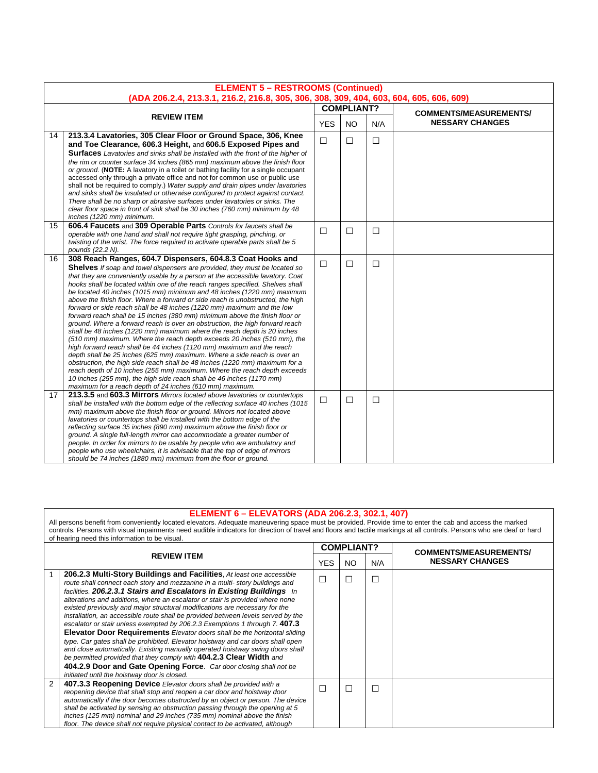|    | <b>ELEMENT 5 - RESTROOMS (Continued)</b>                                                                                                                                                                                                                                                                                                                                                                                                                                                                                                                                                                                                                                                                                                                                                                                                                                                                                                                                                                                                                                                                                                                                                                                                                                                                                            |                   |           |        |                               |  |
|----|-------------------------------------------------------------------------------------------------------------------------------------------------------------------------------------------------------------------------------------------------------------------------------------------------------------------------------------------------------------------------------------------------------------------------------------------------------------------------------------------------------------------------------------------------------------------------------------------------------------------------------------------------------------------------------------------------------------------------------------------------------------------------------------------------------------------------------------------------------------------------------------------------------------------------------------------------------------------------------------------------------------------------------------------------------------------------------------------------------------------------------------------------------------------------------------------------------------------------------------------------------------------------------------------------------------------------------------|-------------------|-----------|--------|-------------------------------|--|
|    | (ADA 206.2.4, 213.3.1, 216.2, 216.8, 305, 306, 308, 309, 404, 603, 604, 605, 606, 609)                                                                                                                                                                                                                                                                                                                                                                                                                                                                                                                                                                                                                                                                                                                                                                                                                                                                                                                                                                                                                                                                                                                                                                                                                                              | <b>COMPLIANT?</b> |           |        |                               |  |
|    | <b>REVIEW ITEM</b>                                                                                                                                                                                                                                                                                                                                                                                                                                                                                                                                                                                                                                                                                                                                                                                                                                                                                                                                                                                                                                                                                                                                                                                                                                                                                                                  |                   |           |        | <b>COMMENTS/MEASUREMENTS/</b> |  |
|    |                                                                                                                                                                                                                                                                                                                                                                                                                                                                                                                                                                                                                                                                                                                                                                                                                                                                                                                                                                                                                                                                                                                                                                                                                                                                                                                                     | <b>YES</b>        | <b>NO</b> | N/A    | <b>NESSARY CHANGES</b>        |  |
| 14 | 213.3.4 Lavatories, 305 Clear Floor or Ground Space, 306, Knee<br>and Toe Clearance, 606.3 Height, and 606.5 Exposed Pipes and<br><b>Surfaces</b> Lavatories and sinks shall be installed with the front of the higher of<br>the rim or counter surface 34 inches (865 mm) maximum above the finish floor<br>or ground. (NOTE: A lavatory in a toilet or bathing facility for a single occupant<br>accessed only through a private office and not for common use or public use<br>shall not be required to comply.) Water supply and drain pipes under lavatories<br>and sinks shall be insulated or otherwise configured to protect against contact.<br>There shall be no sharp or abrasive surfaces under lavatories or sinks. The<br>clear floor space in front of sink shall be 30 inches (760 mm) minimum by 48<br>inches (1220 mm) minimum.                                                                                                                                                                                                                                                                                                                                                                                                                                                                                   | $\Box$            | $\Box$    | $\Box$ |                               |  |
| 15 | 606.4 Faucets and 309 Operable Parts Controls for faucets shall be<br>operable with one hand and shall not require tight grasping, pinching, or<br>twisting of the wrist. The force required to activate operable parts shall be 5<br>pounds (22.2 N).                                                                                                                                                                                                                                                                                                                                                                                                                                                                                                                                                                                                                                                                                                                                                                                                                                                                                                                                                                                                                                                                              | $\Box$            | □         | $\Box$ |                               |  |
| 16 | 308 Reach Ranges, 604.7 Dispensers, 604.8.3 Coat Hooks and<br><b>Shelves</b> If soap and towel dispensers are provided, they must be located so<br>that they are conveniently usable by a person at the accessible lavatory. Coat<br>hooks shall be located within one of the reach ranges specified. Shelves shall<br>be located 40 inches (1015 mm) minimum and 48 inches (1220 mm) maximum<br>above the finish floor. Where a forward or side reach is unobstructed, the high<br>forward or side reach shall be 48 inches (1220 mm) maximum and the low<br>forward reach shall be 15 inches (380 mm) minimum above the finish floor or<br>ground. Where a forward reach is over an obstruction, the high forward reach<br>shall be 48 inches (1220 mm) maximum where the reach depth is 20 inches<br>(510 mm) maximum. Where the reach depth exceeds 20 inches (510 mm), the<br>high forward reach shall be 44 inches (1120 mm) maximum and the reach<br>depth shall be 25 inches (625 mm) maximum. Where a side reach is over an<br>obstruction, the high side reach shall be 48 inches (1220 mm) maximum for a<br>reach depth of 10 inches (255 mm) maximum. Where the reach depth exceeds<br>10 inches (255 mm), the high side reach shall be 46 inches (1170 mm)<br>maximum for a reach depth of 24 inches (610 mm) maximum. | □                 | $\Box$    | $\Box$ |                               |  |
| 17 | 213.3.5 and 603.3 Mirrors Mirrors located above lavatories or countertops<br>shall be installed with the bottom edge of the reflecting surface 40 inches (1015)<br>mm) maximum above the finish floor or ground. Mirrors not located above<br>lavatories or countertops shall be installed with the bottom edge of the<br>reflecting surface 35 inches (890 mm) maximum above the finish floor or<br>ground. A single full-length mirror can accommodate a greater number of<br>people. In order for mirrors to be usable by people who are ambulatory and<br>people who use wheelchairs, it is advisable that the top of edge of mirrors<br>should be 74 inches (1880 mm) minimum from the floor or ground.                                                                                                                                                                                                                                                                                                                                                                                                                                                                                                                                                                                                                        | $\Box$            | $\Box$    | $\Box$ |                               |  |

### **ELEMENT 6 – ELEVATORS (ADA 206.2.3, 302.1, 407)**

All persons benefit from conveniently located elevators. Adequate maneuvering space must be provided. Provide time to enter the cab and access the marked controls. Persons with visual impairments need audible indicators for direction of travel and floors and tactile markings at all controls. Persons who are deaf or hard of hearing need this information to be visual.

|  |                                                                                                                                                                                                                                                                                                                                                                                                                                                                                                                                                                                                                                                                                                                                                                                                                                                                                                                                                                                                                       |  | <b>COMPLIANT?</b> |     | <b>COMMENTS/MEASUREMENTS/</b> |
|--|-----------------------------------------------------------------------------------------------------------------------------------------------------------------------------------------------------------------------------------------------------------------------------------------------------------------------------------------------------------------------------------------------------------------------------------------------------------------------------------------------------------------------------------------------------------------------------------------------------------------------------------------------------------------------------------------------------------------------------------------------------------------------------------------------------------------------------------------------------------------------------------------------------------------------------------------------------------------------------------------------------------------------|--|-------------------|-----|-------------------------------|
|  | <b>REVIEW ITEM</b><br>YES.                                                                                                                                                                                                                                                                                                                                                                                                                                                                                                                                                                                                                                                                                                                                                                                                                                                                                                                                                                                            |  | NO.               | N/A | <b>NESSARY CHANGES</b>        |
|  | 206.2.3 Multi-Story Buildings and Facilities. At least one accessible<br>route shall connect each story and mezzanine in a multi- story buildings and<br>facilities. 206.2.3.1 Stairs and Escalators in Existing Buildings In<br>alterations and additions, where an escalator or stair is provided where none<br>existed previously and major structural modifications are necessary for the<br>installation, an accessible route shall be provided between levels served by the<br>escalator or stair unless exempted by 206.2.3 Exemptions 1 through 7.407.3<br><b>Elevator Door Requirements</b> Elevator doors shall be the horizontal sliding<br>type. Car gates shall be prohibited. Elevator hoistway and car doors shall open<br>and close automatically. Existing manually operated hoistway swing doors shall<br>be permitted provided that they comply with 404.2.3 Clear Width and<br>404.2.9 Door and Gate Opening Force. Car door closing shall not be<br>initiated until the hoistway door is closed. |  | $\Box$            | ⊏   |                               |
|  | 2<br>407.3.3 Reopening Device Elevator doors shall be provided with a<br>reopening device that shall stop and reopen a car door and hoistway door<br>automatically if the door becomes obstructed by an object or person. The device<br>shall be activated by sensing an obstruction passing through the opening at 5<br>inches (125 mm) nominal and 29 inches (735 mm) nominal above the finish<br>floor. The device shall not require physical contact to be activated, although                                                                                                                                                                                                                                                                                                                                                                                                                                                                                                                                    |  | $\Box$            | г   |                               |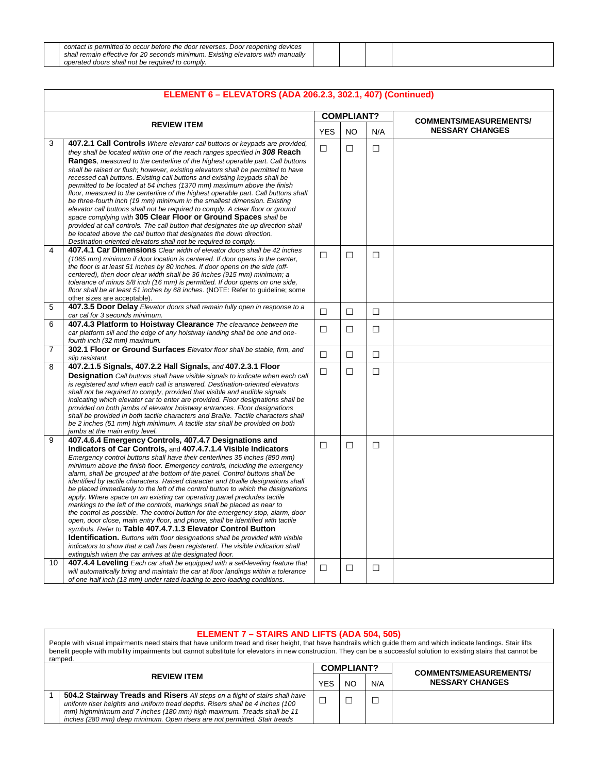| contact is permitted to occur before the door reverses. Door reopening devices  |  |  |
|---------------------------------------------------------------------------------|--|--|
| shall remain effective for 20 seconds minimum. Existing elevators with manually |  |  |
| operated doors shall not be required to comply.                                 |  |  |

|                |                                                                                                                                                                                                                                                                                                                                                                                                                                                                                                                                                                                                                                                                                                                                                                                                                                                                                                                                                                                                                                                                                                                                                                                                                                                                       |            | <b>COMPLIANT?</b> |        | <b>COMMENTS/MEASUREMENTS/</b> |
|----------------|-----------------------------------------------------------------------------------------------------------------------------------------------------------------------------------------------------------------------------------------------------------------------------------------------------------------------------------------------------------------------------------------------------------------------------------------------------------------------------------------------------------------------------------------------------------------------------------------------------------------------------------------------------------------------------------------------------------------------------------------------------------------------------------------------------------------------------------------------------------------------------------------------------------------------------------------------------------------------------------------------------------------------------------------------------------------------------------------------------------------------------------------------------------------------------------------------------------------------------------------------------------------------|------------|-------------------|--------|-------------------------------|
|                | <b>REVIEW ITEM</b>                                                                                                                                                                                                                                                                                                                                                                                                                                                                                                                                                                                                                                                                                                                                                                                                                                                                                                                                                                                                                                                                                                                                                                                                                                                    | <b>YES</b> | NO.               | N/A    | <b>NESSARY CHANGES</b>        |
| 3<br>4         | <b>407.2.1 Call Controls</b> Where elevator call buttons or keypads are provided.<br>they shall be located within one of the reach ranges specified in 308 Reach<br>Ranges, measured to the centerline of the highest operable part. Call buttons<br>shall be raised or flush; however, existing elevators shall be permitted to have<br>recessed call buttons. Existing call buttons and existing keypads shall be<br>permitted to be located at 54 inches (1370 mm) maximum above the finish<br>floor, measured to the centerline of the highest operable part. Call buttons shall<br>be three-fourth inch (19 mm) minimum in the smallest dimension. Existing<br>elevator call buttons shall not be required to comply. A clear floor or ground<br>space complying with 305 Clear Floor or Ground Spaces shall be<br>provided at call controls. The call button that designates the up direction shall<br>be located above the call button that designates the down direction.<br>Destination-oriented elevators shall not be required to comply.                                                                                                                                                                                                                  | $\Box$     | $\Box$            | $\Box$ |                               |
|                | 407.4.1 Car Dimensions Clear width of elevator doors shall be 42 inches<br>(1065 mm) minimum if door location is centered. If door opens in the center,<br>the floor is at least 51 inches by 80 inches. If door opens on the side (off-<br>centered), then door clear width shall be 36 inches (915 mm) minimum; a<br>tolerance of minus 5/8 inch (16 mm) is permitted. If door opens on one side,<br>floor shall be at least 51 inches by 68 inches. (NOTE: Refer to guideline; some<br>other sizes are acceptable).                                                                                                                                                                                                                                                                                                                                                                                                                                                                                                                                                                                                                                                                                                                                                | $\Box$     | $\Box$            | $\Box$ |                               |
| 5              | 407.3.5 Door Delay Elevator doors shall remain fully open in response to a<br>car cal for 3 seconds minimum.                                                                                                                                                                                                                                                                                                                                                                                                                                                                                                                                                                                                                                                                                                                                                                                                                                                                                                                                                                                                                                                                                                                                                          | $\Box$     | □                 | $\Box$ |                               |
| 6              | 407.4.3 Platform to Hoistway Clearance The clearance between the<br>car platform sill and the edge of any hoistway landing shall be one and one-<br>fourth inch (32 mm) maximum.                                                                                                                                                                                                                                                                                                                                                                                                                                                                                                                                                                                                                                                                                                                                                                                                                                                                                                                                                                                                                                                                                      | □          | □                 | $\Box$ |                               |
| $\overline{7}$ | 302.1 Floor or Ground Surfaces Elevator floor shall be stable, firm, and<br>slip resistant.                                                                                                                                                                                                                                                                                                                                                                                                                                                                                                                                                                                                                                                                                                                                                                                                                                                                                                                                                                                                                                                                                                                                                                           | П          | $\Box$            | □      |                               |
| 8              | 407.2.1.5 Signals, 407.2.2 Hall Signals, and 407.2.3.1 Floor<br><b>Designation</b> Call buttons shall have visible signals to indicate when each call<br>is registered and when each call is answered. Destination-oriented elevators<br>shall not be required to comply, provided that visible and audible signals<br>indicating which elevator car to enter are provided. Floor designations shall be<br>provided on both jambs of elevator hoistway entrances. Floor designations<br>shall be provided in both tactile characters and Braille. Tactile characters shall<br>be 2 inches (51 mm) high minimum. A tactile star shall be provided on both<br>jambs at the main entry level.                                                                                                                                                                                                                                                                                                                                                                                                                                                                                                                                                                            | $\Box$     | $\Box$            | $\Box$ |                               |
| 9<br>10        | 407.4.6.4 Emergency Controls, 407.4.7 Designations and<br>Indicators of Car Controls, and 407.4.7.1.4 Visible Indicators<br>Emergency control buttons shall have their centerlines 35 inches (890 mm)<br>minimum above the finish floor. Emergency controls, including the emergency<br>alarm, shall be grouped at the bottom of the panel. Control buttons shall be<br>identified by tactile characters. Raised character and Braille designations shall<br>be placed immediately to the left of the control button to which the designations<br>apply. Where space on an existing car operating panel precludes tactile<br>markings to the left of the controls, markings shall be placed as near to<br>the control as possible. The control button for the emergency stop, alarm, door<br>open, door close, main entry floor, and phone, shall be identified with tactile<br>symbols. Refer to Table 407.4.7.1.3 Elevator Control Button<br><b>Identification.</b> Buttons with floor designations shall be provided with visible<br>indicators to show that a call has been registered. The visible indication shall<br>extinguish when the car arrives at the designated floor.<br>407.4.4 Leveling Each car shall be equipped with a self-leveling feature that | $\Box$     | $\Box$            | $\Box$ |                               |
|                | will automatically bring and maintain the car at floor landings within a tolerance<br>of one-half inch (13 mm) under rated loading to zero loading conditions.                                                                                                                                                                                                                                                                                                                                                                                                                                                                                                                                                                                                                                                                                                                                                                                                                                                                                                                                                                                                                                                                                                        | □          | □                 | □      |                               |

#### **ELEMENT 6 – ELEVATORS (ADA 206.2.3, 302.1, 407) (Continued)**

Г

#### **ELEMENT 7 – STAIRS AND LIFTS (ADA 504, 505)**

People with visual impairments need stairs that have uniform tread and riser height, that have handrails which guide them and which indicate landings. Stair lifts benefit people with mobility impairments but cannot substitute for elevators in new construction. They can be a successful solution to existing stairs that cannot be ramped.

|                    |                                                                                                                                                                                                                                                                                                                     |            | <b>COMPLIANT?</b> |     | <b>COMMENTS/MEASUREMENTS/</b> |
|--------------------|---------------------------------------------------------------------------------------------------------------------------------------------------------------------------------------------------------------------------------------------------------------------------------------------------------------------|------------|-------------------|-----|-------------------------------|
| <b>REVIEW ITEM</b> |                                                                                                                                                                                                                                                                                                                     | <b>YES</b> | NC.               | N/A | <b>NESSARY CHANGES</b>        |
|                    | 504.2 Stairway Treads and Risers All steps on a flight of stairs shall have<br>uniform riser heights and uniform tread depths. Risers shall be 4 inches (100<br>mm) highminimum and 7 inches (180 mm) high maximum. Treads shall be 11<br>inches (280 mm) deep minimum. Open risers are not permitted. Stair treads |            |                   |     |                               |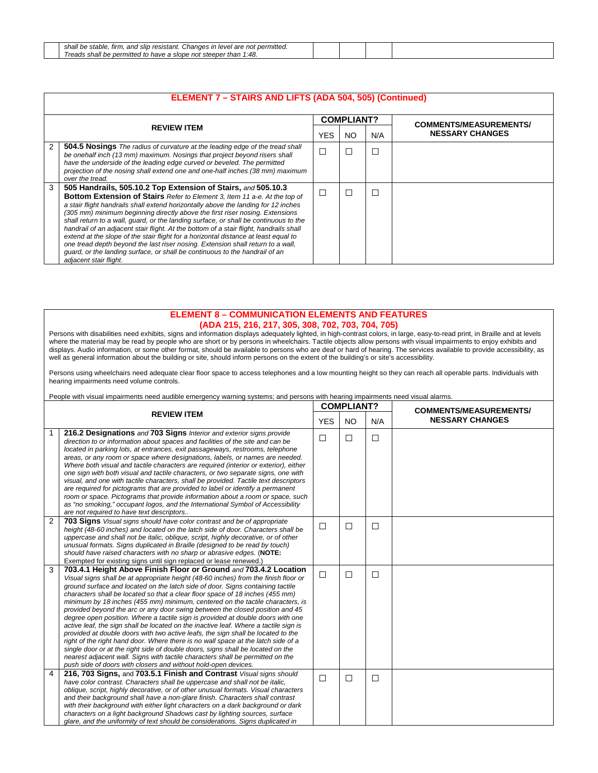| shall<br>+ permitteo.<br>slip resistant.<br>e stable.<br>not<br>Changes in level f<br>. and s<br>tırm<br>are<br><br>IJΕ |  |  |
|-------------------------------------------------------------------------------------------------------------------------|--|--|
| 1.48<br>* than<br>reads<br>. steeper<br>shall<br>Il be permitted to have a slope not l<br>saus<br>.40                   |  |  |

|   | ELEMENT 7 - STAIRS AND LIFTS (ADA 504, 505) (Continued)                                                                                                                                                                                                                                                                                                                                                                                                                                                                                                                                                                                                                                                                                                                               |        |                   |     |                               |  |  |  |
|---|---------------------------------------------------------------------------------------------------------------------------------------------------------------------------------------------------------------------------------------------------------------------------------------------------------------------------------------------------------------------------------------------------------------------------------------------------------------------------------------------------------------------------------------------------------------------------------------------------------------------------------------------------------------------------------------------------------------------------------------------------------------------------------------|--------|-------------------|-----|-------------------------------|--|--|--|
|   |                                                                                                                                                                                                                                                                                                                                                                                                                                                                                                                                                                                                                                                                                                                                                                                       |        | <b>COMPLIANT?</b> |     | <b>COMMENTS/MEASUREMENTS/</b> |  |  |  |
|   | <b>REVIEW ITEM</b>                                                                                                                                                                                                                                                                                                                                                                                                                                                                                                                                                                                                                                                                                                                                                                    |        | NO.               | N/A | <b>NESSARY CHANGES</b>        |  |  |  |
| 2 | <b>504.5 Nosings</b> The radius of curvature at the leading edge of the tread shall<br>be onehalf inch (13 mm) maximum. Nosings that project beyond risers shall<br>have the underside of the leading edge curved or beveled. The permitted<br>projection of the nosing shall extend one and one-half inches (38 mm) maximum<br>over the tread.                                                                                                                                                                                                                                                                                                                                                                                                                                       | H      |                   | Ľ   |                               |  |  |  |
| 3 | 505 Handrails, 505.10.2 Top Extension of Stairs, and 505.10.3<br>Bottom Extension of Stairs Refer to Element 3, Item 11 a-e. At the top of<br>a stair flight handrails shall extend horizontally above the landing for 12 inches<br>(305 mm) minimum beginning directly above the first riser nosing. Extensions<br>shall return to a wall, quard, or the landing surface, or shall be continuous to the<br>handrail of an adjacent stair flight. At the bottom of a stair flight, handrails shall<br>extend at the slope of the stair flight for a horizontal distance at least equal to<br>one tread depth beyond the last riser nosing. Extension shall return to a wall,<br>quard, or the landing surface, or shall be continuous to the handrail of an<br>adjacent stair flight. | $\Box$ |                   |     |                               |  |  |  |

#### **ELEMENT 8 – COMMUNICATION ELEMENTS AND FEATURES (ADA 215, 216, 217, 305, 308, 702, 703, 704, 705)**

Persons with disabilities need exhibits, signs and information displays adequately lighted, in high-contrast colors, in large, easy-to-read print, in Braille and at levels where the material may be read by people who are short or by persons in wheelchairs. Tactile objects allow persons with visual impairments to enjoy exhibits and displays. Audio information, or some other format, should be available to persons who are deaf or hard of hearing. The services available to provide accessibility, as well as general information about the building or site, should inform persons on the extent of the building's or site's accessibility.

Persons using wheelchairs need adequate clear floor space to access telephones and a low mounting height so they can reach all operable parts. Individuals with hearing impairments need volume controls.

People with visual impairments need audible emergency warning systems; and persons with hearing impairments need visual alarms.

| <b>REVIEW ITEM</b> |                                                                                                                                                                                                                                                                                                                                                                                                                                                                                                                                                                                                                                                                                                                                                                                                                                                                                                                                                                                                                                                                                        | <b>COMPLIANT?</b> |           |        | <b>COMMENTS/MEASUREMENTS/</b> |
|--------------------|----------------------------------------------------------------------------------------------------------------------------------------------------------------------------------------------------------------------------------------------------------------------------------------------------------------------------------------------------------------------------------------------------------------------------------------------------------------------------------------------------------------------------------------------------------------------------------------------------------------------------------------------------------------------------------------------------------------------------------------------------------------------------------------------------------------------------------------------------------------------------------------------------------------------------------------------------------------------------------------------------------------------------------------------------------------------------------------|-------------------|-----------|--------|-------------------------------|
|                    |                                                                                                                                                                                                                                                                                                                                                                                                                                                                                                                                                                                                                                                                                                                                                                                                                                                                                                                                                                                                                                                                                        | <b>YES</b>        | <b>NO</b> | N/A    | <b>NESSARY CHANGES</b>        |
|                    | 216.2 Designations and 703 Signs Interior and exterior signs provide<br>direction to or information about spaces and facilities of the site and can be<br>located in parking lots, at entrances, exit passageways, restrooms, telephone<br>areas, or any room or space where designations, labels, or names are needed.<br>Where both visual and tactile characters are required (interior or exterior), either<br>one sign with both visual and tactile characters, or two separate signs, one with<br>visual, and one with tactile characters, shall be provided. Tactile text descriptors<br>are required for pictograms that are provided to label or identify a permanent<br>room or space. Pictograms that provide information about a room or space, such<br>as "no smoking," occupant logos, and the International Symbol of Accessibility<br>are not required to have text descriptors                                                                                                                                                                                        | П                 | $\Box$    | $\Box$ |                               |
| 2                  | 703 Signs Visual signs should have color contrast and be of appropriate<br>height (48-60 inches) and located on the latch side of door. Characters shall be<br>uppercase and shall not be italic, oblique, script, highly decorative, or of other<br>unusual formats. Signs duplicated in Braille (designed to be read by touch)<br>should have raised characters with no sharp or abrasive edges. (NOTE:<br>Exempted for existing signs until sign replaced or lease renewed.)                                                                                                                                                                                                                                                                                                                                                                                                                                                                                                                                                                                                        | $\Box$            | □         | $\Box$ |                               |
| 3                  | 703.4.1 Height Above Finish Floor or Ground and 703.4.2 Location<br>Visual signs shall be at appropriate height (48-60 inches) from the finish floor or<br>ground surface and located on the latch side of door. Signs containing tactile<br>characters shall be located so that a clear floor space of 18 inches (455 mm)<br>minimum by 18 inches (455 mm) minimum, centered on the tactile characters, is<br>provided beyond the arc or any door swing between the closed position and 45<br>degree open position. Where a tactile sign is provided at double doors with one<br>active leaf, the sign shall be located on the inactive leaf. Where a tactile sign is<br>provided at double doors with two active leafs, the sign shall be located to the<br>right of the right hand door. Where there is no wall space at the latch side of a<br>single door or at the right side of double doors, signs shall be located on the<br>nearest adjacent wall. Signs with tactile characters shall be permitted on the<br>push side of doors with closers and without hold-open devices. | $\Box$            | □         | □      |                               |
| 4                  | 216, 703 Signs, and 703.5.1 Finish and Contrast Visual signs should<br>have color contrast. Characters shall be uppercase and shall not be italic.<br>oblique, script, highly decorative, or of other unusual formats. Visual characters<br>and their background shall have a non-glare finish. Characters shall contrast<br>with their background with either light characters on a dark background or dark<br>characters on a light background Shadows cast by lighting sources, surface<br>glare, and the uniformity of text should be considerations. Signs duplicated in                                                                                                                                                                                                                                                                                                                                                                                                                                                                                                          | П                 | □         | $\Box$ |                               |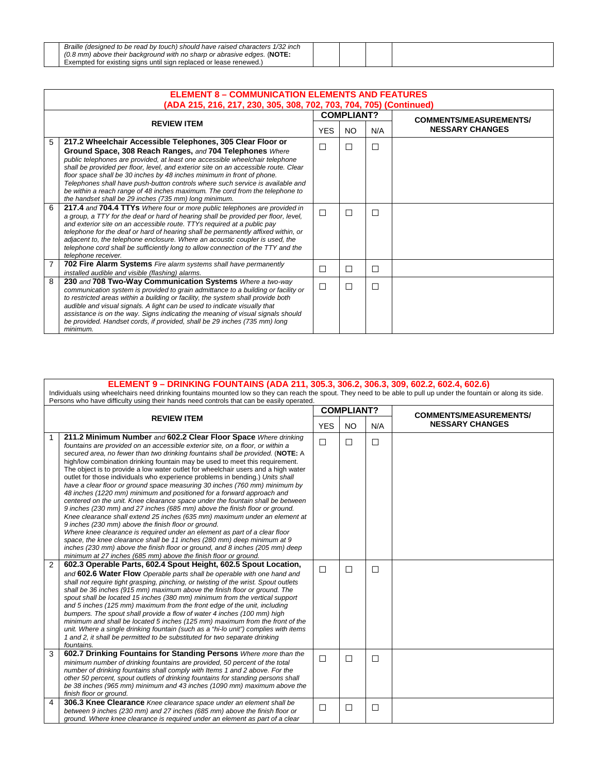| Braille (designed to be read by touch) should have raised characters 1/32 inch |  |  |
|--------------------------------------------------------------------------------|--|--|
| $(0.8$ mm) above their background with no sharp or abrasive edges. (NOTE:      |  |  |
| Exempted for existing signs until sign replaced or lease renewed.              |  |  |

 $\Box$ 

|   | <b>ELEMENT 8 - COMMUNICATION ELEMENTS AND FEATURES</b><br>(ADA 215, 216, 217, 230, 305, 308, 702, 703, 704, 705) (Continued)                                                                                                                                                                                                                                                                                                                                                                                                                                                                       |               |                   |        |                               |  |  |
|---|----------------------------------------------------------------------------------------------------------------------------------------------------------------------------------------------------------------------------------------------------------------------------------------------------------------------------------------------------------------------------------------------------------------------------------------------------------------------------------------------------------------------------------------------------------------------------------------------------|---------------|-------------------|--------|-------------------------------|--|--|
|   |                                                                                                                                                                                                                                                                                                                                                                                                                                                                                                                                                                                                    |               | <b>COMPLIANT?</b> |        | <b>COMMENTS/MEASUREMENTS/</b> |  |  |
|   | <b>REVIEW ITEM</b>                                                                                                                                                                                                                                                                                                                                                                                                                                                                                                                                                                                 | <b>YES</b>    | NO.               | N/A    | <b>NESSARY CHANGES</b>        |  |  |
| 5 | 217.2 Wheelchair Accessible Telephones, 305 Clear Floor or<br>Ground Space, 308 Reach Ranges, and 704 Telephones Where<br>public telephones are provided, at least one accessible wheelchair telephone<br>shall be provided per floor, level, and exterior site on an accessible route. Clear<br>floor space shall be 30 inches by 48 inches minimum in front of phone.<br>Telephones shall have push-button controls where such service is available and<br>be within a reach range of 48 inches maximum. The cord from the telephone to<br>the handset shall be 29 inches (735 mm) long minimum. | $\mathcal{L}$ | $\Box$            | $\Box$ |                               |  |  |
| 6 | 217.4 and 704.4 TTYs Where four or more public telephones are provided in<br>a group, a TTY for the deaf or hard of hearing shall be provided per floor, level,<br>and exterior site on an accessible route. TTYs required at a public pay<br>telephone for the deaf or hard of hearing shall be permanently affixed within, or<br>adjacent to, the telephone enclosure. Where an acoustic coupler is used, the<br>telephone cord shall be sufficiently long to allow connection of the TTY and the<br>telephone receiver.                                                                         | П             | П                 | ⊏      |                               |  |  |
| 7 | <b>702 Fire Alarm Systems</b> Fire alarm systems shall have permanently<br>installed audible and visible (flashing) alarms.                                                                                                                                                                                                                                                                                                                                                                                                                                                                        | ۰             | □                 | $\Box$ |                               |  |  |
| 8 | 230 and 708 Two-Way Communication Systems Where a two-way<br>communication system is provided to grain admittance to a building or facility or<br>to restricted areas within a building or facility, the system shall provide both<br>audible and visual signals. A light can be used to indicate visually that<br>assistance is on the way. Signs indicating the meaning of visual signals should<br>be provided. Handset cords, if provided, shall be 29 inches (735 mm) long<br>minimum.                                                                                                        | ┐             | □                 | $\Box$ |                               |  |  |

**ELEMENT 9 – DRINKING FOUNTAINS (ADA 211, 305.3, 306.2, 306.3, 309, 602.2, 602.4, 602.6)**<br>- Individuals using wheelchairs need drinking fountains mounted low so they can reach the spout. They need to be able to pull up und Persons who have difficulty using their hands need controls that can be easily operated.

| <b>REVIEW ITEM</b> |                                                                                                                                                                                                                                                                                                                                                                                                                                                                                                                                                                                                                                                                                                                                                                                                                                                                                                                                                                                                                                                                                                                                                                                                                                                                   | <b>COMPLIANT?</b> |           |        | <b>COMMENTS/MEASUREMENTS/</b> |
|--------------------|-------------------------------------------------------------------------------------------------------------------------------------------------------------------------------------------------------------------------------------------------------------------------------------------------------------------------------------------------------------------------------------------------------------------------------------------------------------------------------------------------------------------------------------------------------------------------------------------------------------------------------------------------------------------------------------------------------------------------------------------------------------------------------------------------------------------------------------------------------------------------------------------------------------------------------------------------------------------------------------------------------------------------------------------------------------------------------------------------------------------------------------------------------------------------------------------------------------------------------------------------------------------|-------------------|-----------|--------|-------------------------------|
|                    |                                                                                                                                                                                                                                                                                                                                                                                                                                                                                                                                                                                                                                                                                                                                                                                                                                                                                                                                                                                                                                                                                                                                                                                                                                                                   | <b>YES</b>        | <b>NO</b> | N/A    | <b>NESSARY CHANGES</b>        |
|                    | 211.2 Minimum Number and 602.2 Clear Floor Space Where drinking<br>fountains are provided on an accessible exterior site, on a floor, or within a<br>secured area, no fewer than two drinking fountains shall be provided. (NOTE: A<br>high/low combination drinking fountain may be used to meet this requirement.<br>The object is to provide a low water outlet for wheelchair users and a high water<br>outlet for those individuals who experience problems in bending.) Units shall<br>have a clear floor or ground space measuring 30 inches (760 mm) minimum by<br>48 inches (1220 mm) minimum and positioned for a forward approach and<br>centered on the unit. Knee clearance space under the fountain shall be between<br>9 inches (230 mm) and 27 inches (685 mm) above the finish floor or ground.<br>Knee clearance shall extend 25 inches (635 mm) maximum under an element at<br>9 inches (230 mm) above the finish floor or ground.<br>Where knee clearance is required under an element as part of a clear floor<br>space, the knee clearance shall be 11 inches (280 mm) deep minimum at 9<br>inches (230 mm) above the finish floor or ground, and 8 inches (205 mm) deep<br>minimum at 27 inches (685 mm) above the finish floor or ground. | $\Box$            | □         | $\Box$ |                               |
| 2                  | 602.3 Operable Parts, 602.4 Spout Height, 602.5 Spout Location,<br>and 602.6 Water Flow Operable parts shall be operable with one hand and<br>shall not require tight grasping, pinching, or twisting of the wrist. Spout outlets<br>shall be 36 inches (915 mm) maximum above the finish floor or ground. The<br>spout shall be located 15 inches (380 mm) minimum from the vertical support<br>and 5 inches (125 mm) maximum from the front edge of the unit, including<br>bumpers. The spout shall provide a flow of water 4 inches (100 mm) high<br>minimum and shall be located 5 inches (125 mm) maximum from the front of the<br>unit. Where a single drinking fountain (such as a "hi-lo unit") complies with items<br>1 and 2, it shall be permitted to be substituted for two separate drinking<br>fountains.                                                                                                                                                                                                                                                                                                                                                                                                                                           | П                 | □         | $\Box$ |                               |
| 3                  | 602.7 Drinking Fountains for Standing Persons Where more than the<br>minimum number of drinking fountains are provided, 50 percent of the total<br>number of drinking fountains shall comply with Items 1 and 2 above. For the<br>other 50 percent, spout outlets of drinking fountains for standing persons shall<br>be 38 inches (965 mm) minimum and 43 inches (1090 mm) maximum above the<br>finish floor or ground.                                                                                                                                                                                                                                                                                                                                                                                                                                                                                                                                                                                                                                                                                                                                                                                                                                          | $\Box$            | $\Box$    | $\Box$ |                               |
| 4                  | <b>306.3 Knee Clearance</b> Knee clearance space under an element shall be<br>between 9 inches (230 mm) and 27 inches (685 mm) above the finish floor or<br>ground. Where knee clearance is required under an element as part of a clear                                                                                                                                                                                                                                                                                                                                                                                                                                                                                                                                                                                                                                                                                                                                                                                                                                                                                                                                                                                                                          | $\Box$            | $\Box$    | $\Box$ |                               |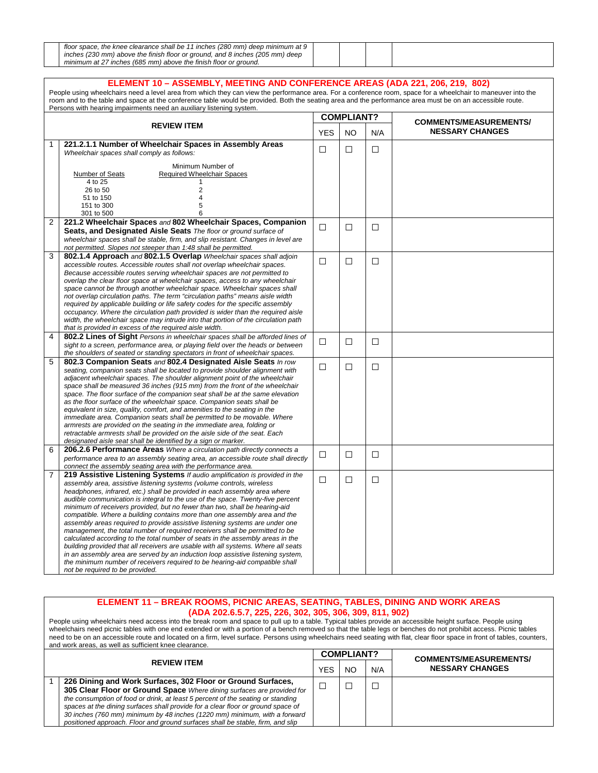| floor space, the knee clearance shall be 11 inches (280 mm) deep minimum at 9 |  |  |
|-------------------------------------------------------------------------------|--|--|
| inches (230 mm) above the finish floor or ground, and 8 inches (205 mm) deep  |  |  |
| minimum at 27 inches (685 mm) above the finish floor or ground.               |  |  |

|                | ELEMENT 10 - ASSEMBLY, MEETING AND CONFERENCE AREAS (ADA 221, 206, 219, 802)<br>People using wheelchairs need a level area from which they can view the performance area. For a conference room, space for a wheelchair to maneuver into the<br>room and to the table and space at the conference table would be provided. Both the seating area and the performance area must be on an accessible route.<br>Persons with hearing impairments need an auxiliary listening system.                                                                                                                                                                                                                                                                                                                                                                                                                                                                                                                                       |            |                   |        |                                                         |  |  |  |
|----------------|-------------------------------------------------------------------------------------------------------------------------------------------------------------------------------------------------------------------------------------------------------------------------------------------------------------------------------------------------------------------------------------------------------------------------------------------------------------------------------------------------------------------------------------------------------------------------------------------------------------------------------------------------------------------------------------------------------------------------------------------------------------------------------------------------------------------------------------------------------------------------------------------------------------------------------------------------------------------------------------------------------------------------|------------|-------------------|--------|---------------------------------------------------------|--|--|--|
|                |                                                                                                                                                                                                                                                                                                                                                                                                                                                                                                                                                                                                                                                                                                                                                                                                                                                                                                                                                                                                                         |            | <b>COMPLIANT?</b> |        |                                                         |  |  |  |
|                | <b>REVIEW ITEM</b>                                                                                                                                                                                                                                                                                                                                                                                                                                                                                                                                                                                                                                                                                                                                                                                                                                                                                                                                                                                                      | <b>YES</b> | <b>NO</b>         | N/A    | <b>COMMENTS/MEASUREMENTS/</b><br><b>NESSARY CHANGES</b> |  |  |  |
| 1              | 221.2.1.1 Number of Wheelchair Spaces in Assembly Areas<br>Wheelchair spaces shall comply as follows:                                                                                                                                                                                                                                                                                                                                                                                                                                                                                                                                                                                                                                                                                                                                                                                                                                                                                                                   | $\Box$     | $\Box$            | □      |                                                         |  |  |  |
|                | Minimum Number of<br><b>Required Wheelchair Spaces</b><br>Number of Seats<br>4 to 25<br>$\mathbf{1}$<br>26 to 50<br>2<br>51 to 150<br>4<br>5<br>151 to 300<br>301 to 500<br>6                                                                                                                                                                                                                                                                                                                                                                                                                                                                                                                                                                                                                                                                                                                                                                                                                                           |            |                   |        |                                                         |  |  |  |
| $\overline{2}$ | 221.2 Wheelchair Spaces and 802 Wheelchair Spaces, Companion<br>Seats, and Designated Aisle Seats The floor or ground surface of<br>wheelchair spaces shall be stable, firm, and slip resistant. Changes in level are<br>not permitted. Slopes not steeper than 1:48 shall be permitted.                                                                                                                                                                                                                                                                                                                                                                                                                                                                                                                                                                                                                                                                                                                                | $\Box$     | □                 | □      |                                                         |  |  |  |
| 3              | 802.1.4 Approach and 802.1.5 Overlap Wheelchair spaces shall adjoin<br>accessible routes. Accessible routes shall not overlap wheelchair spaces.<br>Because accessible routes serving wheelchair spaces are not permitted to<br>overlap the clear floor space at wheelchair spaces, access to any wheelchair<br>space cannot be through another wheelchair space. Wheelchair spaces shall<br>not overlap circulation paths. The term "circulation paths" means aisle width<br>required by applicable building or life safety codes for the specific assembly<br>occupancy. Where the circulation path provided is wider than the required aisle<br>width, the wheelchair space may intrude into that portion of the circulation path<br>that is provided in excess of the required aisle width.                                                                                                                                                                                                                         | П          | П                 | $\Box$ |                                                         |  |  |  |
| 4              | 802.2 Lines of Sight Persons in wheelchair spaces shall be afforded lines of<br>sight to a screen, performance area, or playing field over the heads or between<br>the shoulders of seated or standing spectators in front of wheelchair spaces.                                                                                                                                                                                                                                                                                                                                                                                                                                                                                                                                                                                                                                                                                                                                                                        | $\Box$     | □                 | $\Box$ |                                                         |  |  |  |
| 5              | 802.3 Companion Seats and 802.4 Designated Aisle Seats In row<br>seating, companion seats shall be located to provide shoulder alignment with<br>adjacent wheelchair spaces. The shoulder alignment point of the wheelchair<br>space shall be measured 36 inches (915 mm) from the front of the wheelchair<br>space. The floor surface of the companion seat shall be at the same elevation<br>as the floor surface of the wheelchair space. Companion seats shall be<br>equivalent in size, quality, comfort, and amenities to the seating in the<br>immediate area. Companion seats shall be permitted to be movable. Where<br>armrests are provided on the seating in the immediate area, folding or<br>retractable armrests shall be provided on the aisle side of the seat. Each<br>designated aisle seat shall be identified by a sign or marker.                                                                                                                                                                 | $\Box$     | $\Box$            | $\Box$ |                                                         |  |  |  |
| 6              | 206.2.6 Performance Areas Where a circulation path directly connects a<br>performance area to an assembly seating area, an accessible route shall directly<br>connect the assembly seating area with the performance area.                                                                                                                                                                                                                                                                                                                                                                                                                                                                                                                                                                                                                                                                                                                                                                                              | $\Box$     | □                 | □      |                                                         |  |  |  |
| 7              | 219 Assistive Listening Systems If audio amplification is provided in the<br>assembly area, assistive listening systems (volume controls, wireless<br>headphones, infrared, etc.) shall be provided in each assembly area where<br>audible communication is integral to the use of the space. Twenty-five percent<br>minimum of receivers provided, but no fewer than two, shall be hearing-aid<br>compatible. Where a building contains more than one assembly area and the<br>assembly areas required to provide assistive listening systems are under one<br>management, the total number of required receivers shall be permitted to be<br>calculated according to the total number of seats in the assembly areas in the<br>building provided that all receivers are usable with all systems. Where all seats<br>in an assembly area are served by an induction loop assistive listening system,<br>the minimum number of receivers required to be hearing-aid compatible shall<br>not be required to be provided. | $\Box$     | □                 | □      |                                                         |  |  |  |

#### **ELEMENT 11 – BREAK ROOMS, PICNIC AREAS, SEATING, TABLES, DINING AND WORK AREAS (ADA 202.6.5.7, 225, 226, 302, 305, 306, 309, 811, 902)**

People using wheelchairs need access into the break room and space to pull up to a table. Typical tables provide an accessible height surface. People using wheelchairs need picnic tables with one end extended or with a portion of a bench removed so that the table legs or benches do not prohibit access. Picnic tables need to be on an accessible route and located on a firm, level surface. Persons using wheelchairs need seating with flat, clear floor space in front of tables, counters, and work areas, as well as sufficient knee clearance.

|                                                                                                                                                                                                                                                                                                                                                                                                                                                                             |            | <b>COMPLIANT?</b> |     | <b>COMMENTS/MEASUREMENTS/</b> |
|-----------------------------------------------------------------------------------------------------------------------------------------------------------------------------------------------------------------------------------------------------------------------------------------------------------------------------------------------------------------------------------------------------------------------------------------------------------------------------|------------|-------------------|-----|-------------------------------|
| <b>REVIEW ITEM</b>                                                                                                                                                                                                                                                                                                                                                                                                                                                          | <b>YES</b> | NC.               | N/A | <b>NESSARY CHANGES</b>        |
| 226 Dining and Work Surfaces, 302 Floor or Ground Surfaces,<br>305 Clear Floor or Ground Space Where dining surfaces are provided for<br>the consumption of food or drink, at least 5 percent of the seating or standing<br>spaces at the dining surfaces shall provide for a clear floor or ground space of<br>30 inches (760 mm) minimum by 48 inches (1220 mm) minimum, with a forward<br>positioned approach. Floor and ground surfaces shall be stable, firm, and slip |            |                   |     |                               |